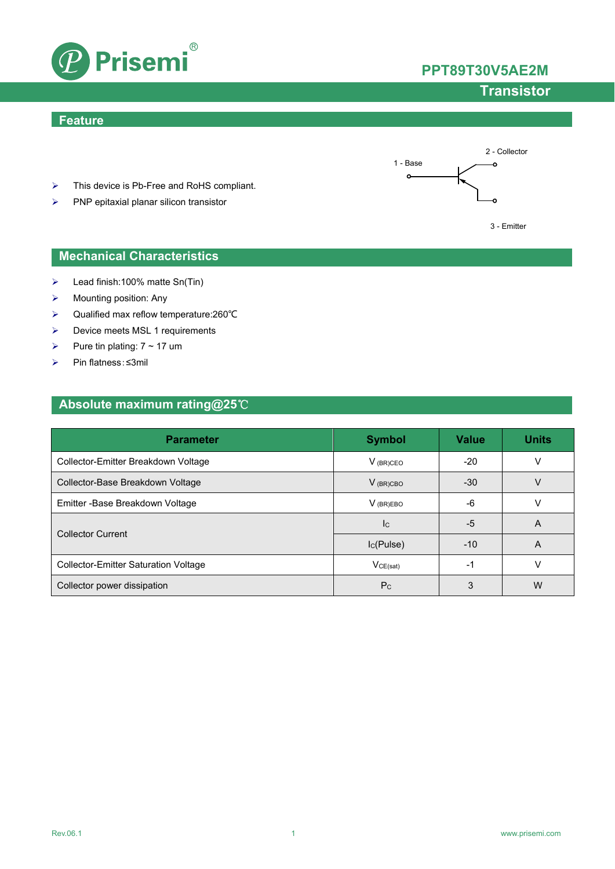



# **Transistor**

### **Feature**



- > This device is Pb-Free and RoHS compliant.
- $\triangleright$  PNP epitaxial planar silicon transistor



### **Mechanical Characteristics**

- Lead finish:100% matte Sn(Tin)
- $\triangleright$  Mounting position: Any
- Qualified max reflow temperature:260℃
- $\triangleright$  Device meets MSL 1 requirements
- Pure tin plating:  $7 \sim 17$  um
- Pin flatness:≤3mil

# **Absolute maximum rating@25**℃

| <b>Parameter</b>                            | <b>Symbol</b>  | Value | <b>Units</b> |
|---------------------------------------------|----------------|-------|--------------|
| Collector-Emitter Breakdown Voltage         | $V_{(BR)CEO}$  | -20   |              |
| Collector-Base Breakdown Voltage            | $V_{(BR)CBO}$  | $-30$ |              |
| Emitter - Base Breakdown Voltage            | $V$ (BR)EBO    | -6    |              |
|                                             | Ic.            | -5    | A            |
| <b>Collector Current</b>                    | $I_{C}(Pulse)$ | $-10$ | A            |
| <b>Collector-Emitter Saturation Voltage</b> | VCE(sat)       | -1    |              |
| Collector power dissipation                 | P <sub>C</sub> | 3     | W            |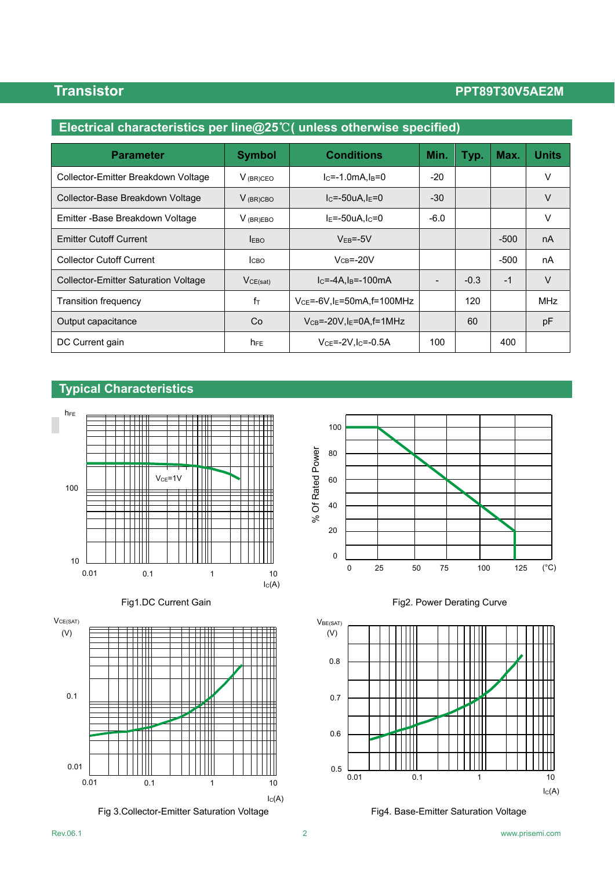# **Transistor PPT89T30V5AE2M**

| Electrical characteristics per line@25°C( unless otherwise specified) |               |                                              |        |        |        |              |
|-----------------------------------------------------------------------|---------------|----------------------------------------------|--------|--------|--------|--------------|
| <b>Parameter</b>                                                      | <b>Symbol</b> | <b>Conditions</b>                            | Min.   | Typ.   | Max.   | <b>Units</b> |
| Collector-Emitter Breakdown Voltage                                   | $V_{(BR)CEO}$ | $lc = -1.0mA$ .l $B = 0$                     | $-20$  |        |        | v            |
| Collector-Base Breakdown Voltage                                      | $V_{(BR)CBO}$ | $IC=-50uA,IE=0$                              | $-30$  |        |        | V            |
| Emitter -Base Breakdown Voltage                                       | $V_{(BR)EBO}$ | $IE=-50uA, IC=0$                             | $-6.0$ |        |        | V            |
| <b>Emitter Cutoff Current</b>                                         | <b>EBO</b>    | $VFB=-5V$                                    |        |        | $-500$ | nA           |
| <b>Collector Cutoff Current</b>                                       | Iсво          | $V_{CB} = -20V$                              |        |        | $-500$ | nA           |
| <b>Collector-Emitter Saturation Voltage</b>                           | VCE(sat)      | $IC=-4A,IB=-100mA$                           |        | $-0.3$ | $-1$   | $\vee$       |
| <b>Transition frequency</b>                                           | $f_{\top}$    | $VCE=-6V, IE=50mA, f=100MHz$                 |        | 120    |        | <b>MHz</b>   |
| Output capacitance                                                    | Co            | $V_{CB} = -20V$ , I <sub>E</sub> =0A, f=1MHz |        | 60     |        | рF           |
| DC Current gain                                                       | $h_{FE}$      | $V_{CE} = -2V I_{C} = -0.5A$                 | 100    |        | 400    |              |

### **Typical Characteristics**













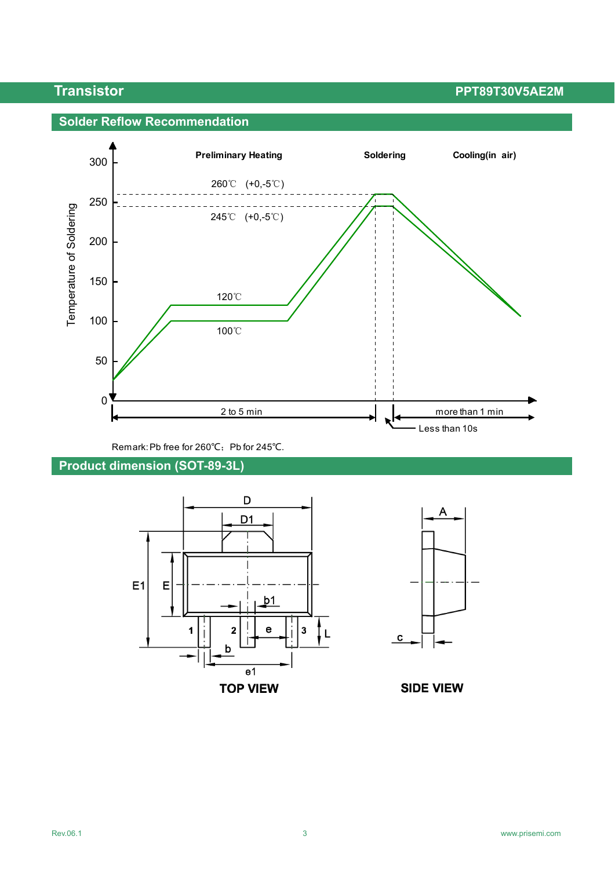**Transistor PPT89T30V5AE2M** 

## **Solder Reflow Recommendation**



Remark: Pb free for 260℃; Pb for 245℃.

# **Product dimension (SOT-89-3L)**





**SIDE VIEW**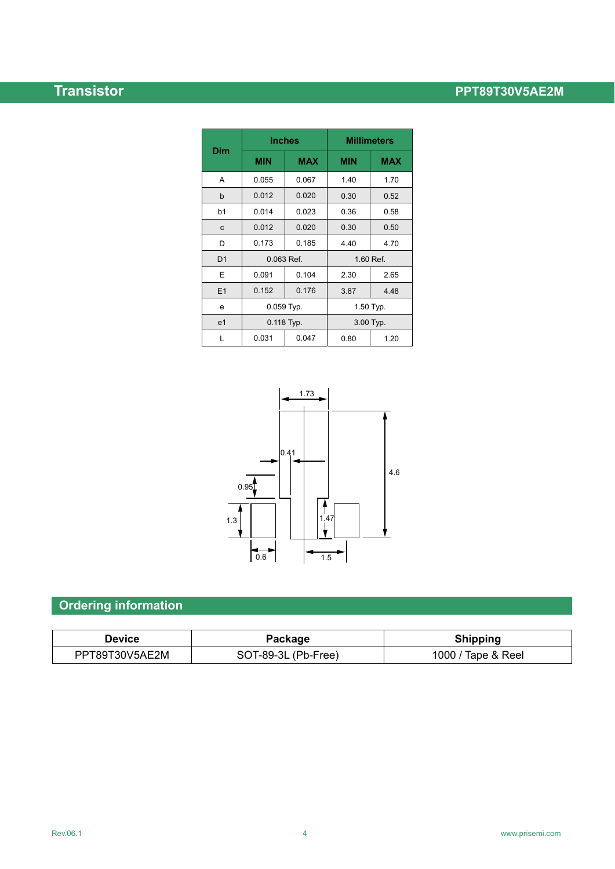# **Transistor PPT89T30V5AE2M**

| Dim            | <b>Inches</b> |            | <b>Millimeters</b> |            |  |
|----------------|---------------|------------|--------------------|------------|--|
|                | <b>MIN</b>    | <b>MAX</b> | <b>MIN</b>         | <b>MAX</b> |  |
| A              | 0.055         | 0.067      | 1.40               | 1.70       |  |
| b              | 0.012         | 0.020      | 0.30               | 0.52       |  |
| b1             | 0.014         | 0.023      | 0.36               | 0.58       |  |
| C              | 0.012         | 0.020      | 0.30               | 0.50       |  |
| D              | 0.173         | 0.185      | 4.40               | 4.70       |  |
| D <sub>1</sub> | 0.063 Ref.    |            | 1.60 Ref.          |            |  |
| E              | 0.091         | 0.104      | 2.30               | 2.65       |  |
| E1             | 0.152         | 0.176      | 3.87               | 4.48       |  |
| e              | 0.059 Typ.    |            | 1.50 Typ.          |            |  |
| e <sub>1</sub> | 0.118 Typ.    |            | 3.00 Typ.          |            |  |
| L              | 0.031         | 0.047      | 0.80               | 1.20       |  |



# **Ordering information**

| <b>Device</b>  | Package             | <b>Shipping</b>    |
|----------------|---------------------|--------------------|
| PPT89T30V5AE2M | SOT-89-3L (Pb-Free) | 1000 / Tape & Reel |